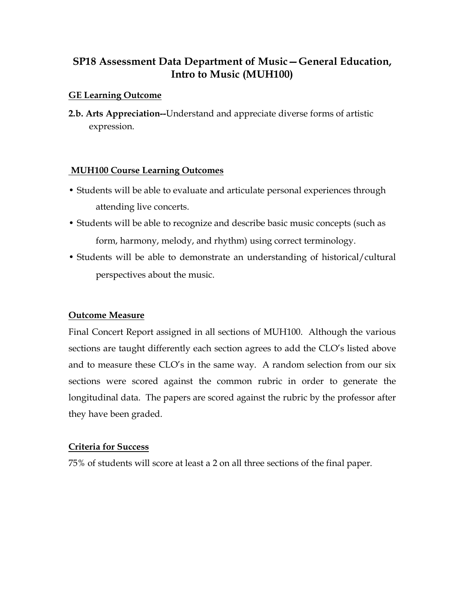# **SP18 Assessment Data Department of Music—General Education, Intro to Music (MUH100)**

## **GE Learning Outcome**

**2.b. Arts Appreciation--**Understand and appreciate diverse forms of artistic expression.

#### **MUH100 Course Learning Outcomes**

- Students will be able to evaluate and articulate personal experiences through attending live concerts.
- Students will be able to recognize and describe basic music concepts (such as form, harmony, melody, and rhythm) using correct terminology.
- Students will be able to demonstrate an understanding of historical/cultural perspectives about the music.

## **Outcome Measure**

Final Concert Report assigned in all sections of MUH100. Although the various sections are taught differently each section agrees to add the CLO's listed above and to measure these CLO's in the same way. A random selection from our six sections were scored against the common rubric in order to generate the longitudinal data. The papers are scored against the rubric by the professor after they have been graded.

#### **Criteria for Success**

75% of students will score at least a 2 on all three sections of the final paper.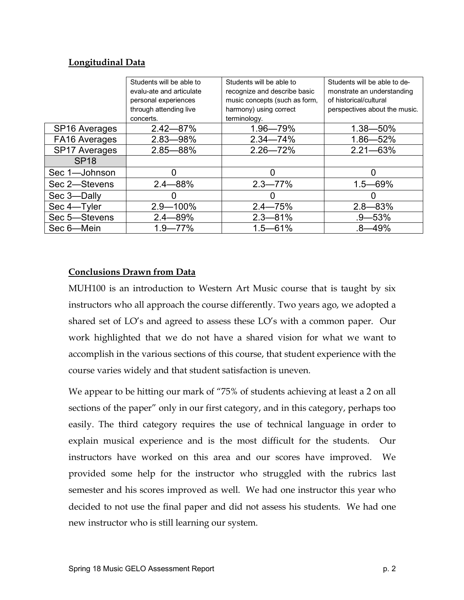## **Longitudinal Data**

|                      | Students will be able to | Students will be able to      | Students will be able to de-  |
|----------------------|--------------------------|-------------------------------|-------------------------------|
|                      | evalu-ate and articulate | recognize and describe basic  | monstrate an understanding    |
|                      | personal experiences     | music concepts (such as form, | of historical/cultural        |
|                      | through attending live   | harmony) using correct        | perspectives about the music. |
|                      | concerts.                | terminology.                  |                               |
| <b>SP16 Averages</b> | $2.42 - 87%$             | 1.96-79%                      | $1.38 - 50\%$                 |
| FA16 Averages        | 2.83-98%                 | $2.34 - 74%$                  | 1.86-52%                      |
| <b>SP17 Averages</b> | $2.85 - 88%$             | $2.26 - 72%$                  | $2.21 - 63%$                  |
| <b>SP18</b>          |                          |                               |                               |
| Sec 1-Johnson        |                          | 0                             |                               |
| Sec 2-Stevens        | $2.4 - 88%$              | $2.3 - 77\%$                  | $1.5 - 69%$                   |
| Sec 3-Dally          |                          | 0                             |                               |
| Sec 4-Tyler          | $2.9 - 100\%$            | $2.4 - 75%$                   | $2.8 - 83%$                   |
| Sec 5-Stevens        | $2.4 - 89%$              | $2.3 - 81\%$                  | .9—53%                        |
| Sec 6-Mein           | $1.9 - 77\%$             | $1.5 - 61%$                   | $.8 - 49%$                    |

## **Conclusions Drawn from Data**

MUH100 is an introduction to Western Art Music course that is taught by six instructors who all approach the course differently. Two years ago, we adopted a shared set of LO's and agreed to assess these LO's with a common paper. Our work highlighted that we do not have a shared vision for what we want to accomplish in the various sections of this course, that student experience with the course varies widely and that student satisfaction is uneven.

We appear to be hitting our mark of "75% of students achieving at least a 2 on all sections of the paper" only in our first category, and in this category, perhaps too easily. The third category requires the use of technical language in order to explain musical experience and is the most difficult for the students. Our instructors have worked on this area and our scores have improved. We provided some help for the instructor who struggled with the rubrics last semester and his scores improved as well. We had one instructor this year who decided to not use the final paper and did not assess his students. We had one new instructor who is still learning our system.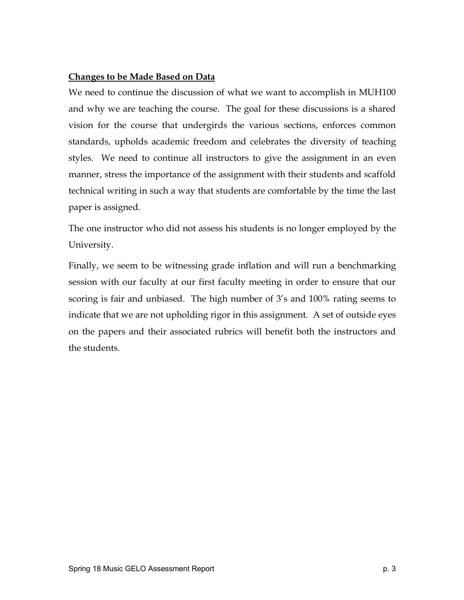## **Changes to be Made Based on Data**

We need to continue the discussion of what we want to accomplish in MUH100 and why we are teaching the course. The goal for these discussions is a shared vision for the course that undergirds the various sections, enforces common standards, upholds academic freedom and celebrates the diversity of teaching styles. We need to continue all instructors to give the assignment in an even manner, stress the importance of the assignment with their students and scaffold technical writing in such a way that students are comfortable by the time the last paper is assigned.

The one instructor who did not assess his students is no longer employed by the University.

Finally, we seem to be witnessing grade inflation and will run a benchmarking session with our faculty at our first faculty meeting in order to ensure that our scoring is fair and unbiased. The high number of 3's and 100% rating seems to indicate that we are not upholding rigor in this assignment. A set of outside eyes on the papers and their associated rubrics will benefit both the instructors and the students.